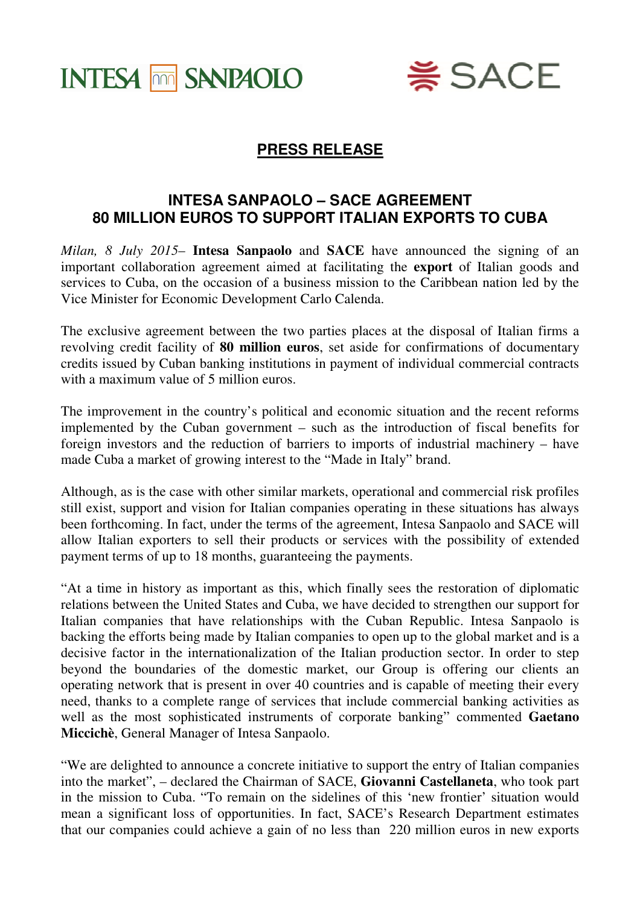



## **PRESS RELEASE**

## **INTESA SANPAOLO – SACE AGREEMENT 80 MILLION EUROS TO SUPPORT ITALIAN EXPORTS TO CUBA**

*Milan, 8 July 2015*– **Intesa Sanpaolo** and **SACE** have announced the signing of an important collaboration agreement aimed at facilitating the **export** of Italian goods and services to Cuba, on the occasion of a business mission to the Caribbean nation led by the Vice Minister for Economic Development Carlo Calenda.

The exclusive agreement between the two parties places at the disposal of Italian firms a revolving credit facility of **80 million euros**, set aside for confirmations of documentary credits issued by Cuban banking institutions in payment of individual commercial contracts with a maximum value of 5 million euros.

The improvement in the country's political and economic situation and the recent reforms implemented by the Cuban government – such as the introduction of fiscal benefits for foreign investors and the reduction of barriers to imports of industrial machinery – have made Cuba a market of growing interest to the "Made in Italy" brand.

Although, as is the case with other similar markets, operational and commercial risk profiles still exist, support and vision for Italian companies operating in these situations has always been forthcoming. In fact, under the terms of the agreement, Intesa Sanpaolo and SACE will allow Italian exporters to sell their products or services with the possibility of extended payment terms of up to 18 months, guaranteeing the payments.

"At a time in history as important as this, which finally sees the restoration of diplomatic relations between the United States and Cuba, we have decided to strengthen our support for Italian companies that have relationships with the Cuban Republic. Intesa Sanpaolo is backing the efforts being made by Italian companies to open up to the global market and is a decisive factor in the internationalization of the Italian production sector. In order to step beyond the boundaries of the domestic market, our Group is offering our clients an operating network that is present in over 40 countries and is capable of meeting their every need, thanks to a complete range of services that include commercial banking activities as well as the most sophisticated instruments of corporate banking" commented **Gaetano Miccichè**, General Manager of Intesa Sanpaolo.

"We are delighted to announce a concrete initiative to support the entry of Italian companies into the market", – declared the Chairman of SACE, **Giovanni Castellaneta**, who took part in the mission to Cuba. "To remain on the sidelines of this 'new frontier' situation would mean a significant loss of opportunities. In fact, SACE's Research Department estimates that our companies could achieve a gain of no less than 220 million euros in new exports